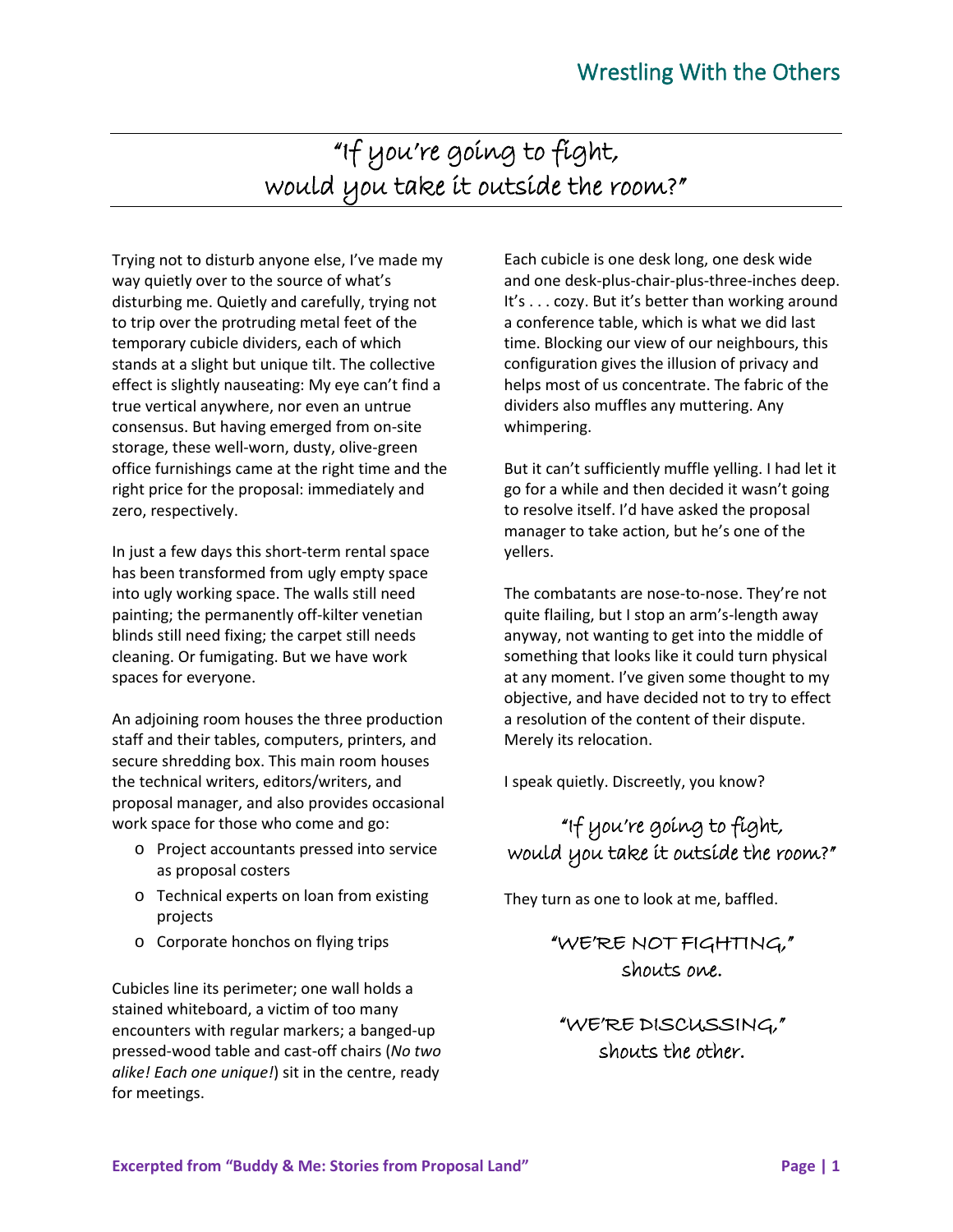# "If you're going to fight, would you take it outside the room?"

Trying not to disturb anyone else, I've made my way quietly over to the source of what's disturbing me. Quietly and carefully, trying not to trip over the protruding metal feet of the temporary cubicle dividers, each of which stands at a slight but unique tilt. The collective effect is slightly nauseating: My eye can't find a true vertical anywhere, nor even an untrue consensus. But having emerged from on-site storage, these well-worn, dusty, olive-green office furnishings came at the right time and the right price for the proposal: immediately and zero, respectively.

In just a few days this short-term rental space has been transformed from ugly empty space into ugly working space. The walls still need painting; the permanently off-kilter venetian blinds still need fixing; the carpet still needs cleaning. Or fumigating. But we have work spaces for everyone.

An adjoining room houses the three production staff and their tables, computers, printers, and secure shredding box. This main room houses the technical writers, editors/writers, and proposal manager, and also provides occasional work space for those who come and go:

- o Project accountants pressed into service as proposal costers
- o Technical experts on loan from existing projects
- o Corporate honchos on flying trips

Cubicles line its perimeter; one wall holds a stained whiteboard, a victim of too many encounters with regular markers; a banged-up pressed-wood table and cast-off chairs (*No two alike! Each one unique!*) sit in the centre, ready for meetings.

Each cubicle is one desk long, one desk wide and one desk-plus-chair-plus-three-inches deep. It's . . . cozy. But it's better than working around a conference table, which is what we did last time. Blocking our view of our neighbours, this configuration gives the illusion of privacy and helps most of us concentrate. The fabric of the dividers also muffles any muttering. Any whimpering.

But it can't sufficiently muffle yelling. I had let it go for a while and then decided it wasn't going to resolve itself. I'd have asked the proposal manager to take action, but he's one of the yellers.

The combatants are nose-to-nose. They're not quite flailing, but I stop an arm's-length away anyway, not wanting to get into the middle of something that looks like it could turn physical at any moment. I've given some thought to my objective, and have decided not to try to effect a resolution of the content of their dispute. Merely its relocation.

I speak quietly. Discreetly, you know?

### "If you're going to fight, would you take it outside the room?"

They turn as one to look at me, baffled.

#### "WE'RE NOT FIGHTING," shouts one.

"WE'RE DISCUSSING," shouts the other.